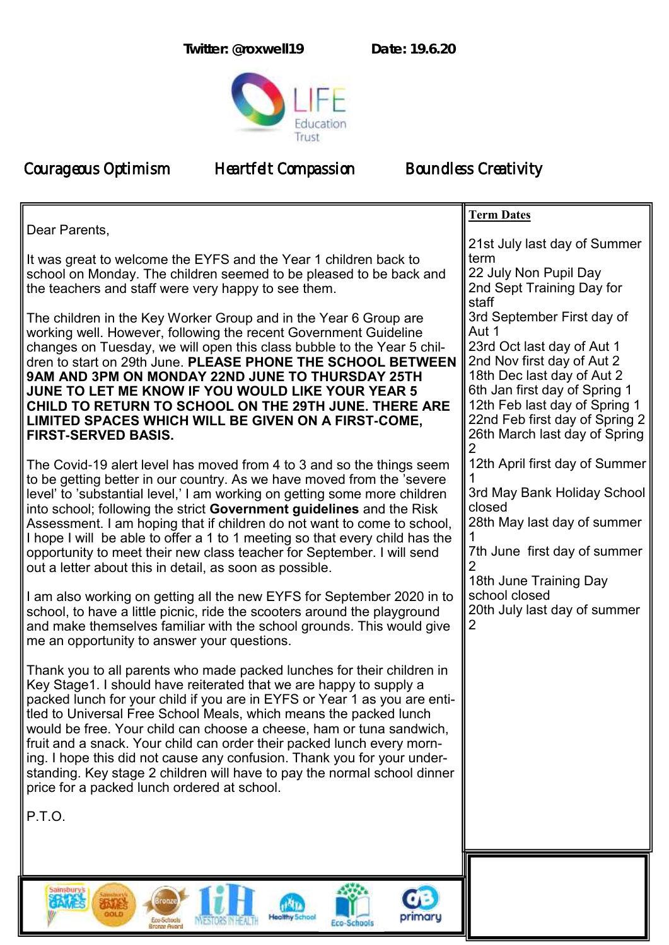**Twitter: @roxwell19 Date: 19.6.20**



Courageous Optimism Heartfelt Compassion Boundless Creativity

Eco-Schools<br>Bronze Award

**INESTORS IN HEALTH** 

|                                                                                                                                                                                                                                                                                                                                                                                                                                                                                                                                                                                                                                                        | <b>Term Dates</b>                                                                                                                                                                                                                                                           |
|--------------------------------------------------------------------------------------------------------------------------------------------------------------------------------------------------------------------------------------------------------------------------------------------------------------------------------------------------------------------------------------------------------------------------------------------------------------------------------------------------------------------------------------------------------------------------------------------------------------------------------------------------------|-----------------------------------------------------------------------------------------------------------------------------------------------------------------------------------------------------------------------------------------------------------------------------|
| Dear Parents,<br>It was great to welcome the EYFS and the Year 1 children back to<br>school on Monday. The children seemed to be pleased to be back and<br>the teachers and staff were very happy to see them.                                                                                                                                                                                                                                                                                                                                                                                                                                         | 21st July last day of Summer<br>term<br>22 July Non Pupil Day<br>2nd Sept Training Day for                                                                                                                                                                                  |
| The children in the Key Worker Group and in the Year 6 Group are<br>working well. However, following the recent Government Guideline<br>changes on Tuesday, we will open this class bubble to the Year 5 chil-<br>dren to start on 29th June. PLEASE PHONE THE SCHOOL BETWEEN<br>9AM AND 3PM ON MONDAY 22ND JUNE TO THURSDAY 25TH<br>JUNE TO LET ME KNOW IF YOU WOULD LIKE YOUR YEAR 5<br>CHILD TO RETURN TO SCHOOL ON THE 29TH JUNE. THERE ARE<br>LIMITED SPACES WHICH WILL BE GIVEN ON A FIRST-COME,<br><b>FIRST-SERVED BASIS.</b>                                                                                                                   | staff<br>3rd September First day of<br>Aut 1<br>23rd Oct last day of Aut 1<br>2nd Nov first day of Aut 2<br>18th Dec last day of Aut 2<br>6th Jan first day of Spring 1<br>12th Feb last day of Spring 1<br>22nd Feb first day of Spring 2<br>26th March last day of Spring |
| The Covid-19 alert level has moved from 4 to 3 and so the things seem<br>to be getting better in our country. As we have moved from the 'severe<br>level' to 'substantial level,' I am working on getting some more children<br>into school; following the strict Government guidelines and the Risk<br>Assessment. I am hoping that if children do not want to come to school,<br>I hope I will be able to offer a 1 to 1 meeting so that every child has the<br>opportunity to meet their new class teacher for September. I will send<br>out a letter about this in detail, as soon as possible.                                                    | 12th April first day of Summer<br>3rd May Bank Holiday School<br>closed<br>28th May last day of summer<br>7th June first day of summer<br>18th June Training Day<br>school closed                                                                                           |
| I am also working on getting all the new EYFS for September 2020 in to<br>school, to have a little picnic, ride the scooters around the playground<br>and make themselves familiar with the school grounds. This would give<br>me an opportunity to answer your questions.                                                                                                                                                                                                                                                                                                                                                                             | 20th July last day of summer                                                                                                                                                                                                                                                |
| Thank you to all parents who made packed lunches for their children in<br>Key Stage1. I should have reiterated that we are happy to supply a<br>packed lunch for your child if you are in EYFS or Year 1 as you are enti-<br>tled to Universal Free School Meals, which means the packed lunch<br>would be free. Your child can choose a cheese, ham or tuna sandwich,<br>fruit and a snack. Your child can order their packed lunch every morn-<br>ing. I hope this did not cause any confusion. Thank you for your under-<br>standing. Key stage 2 children will have to pay the normal school dinner<br>price for a packed lunch ordered at school. |                                                                                                                                                                                                                                                                             |
| P.T.O.                                                                                                                                                                                                                                                                                                                                                                                                                                                                                                                                                                                                                                                 |                                                                                                                                                                                                                                                                             |
|                                                                                                                                                                                                                                                                                                                                                                                                                                                                                                                                                                                                                                                        |                                                                                                                                                                                                                                                                             |
| sainsburys<br><b>CB</b>                                                                                                                                                                                                                                                                                                                                                                                                                                                                                                                                                                                                                                |                                                                                                                                                                                                                                                                             |

 $\mathbf{d}$ 

Eco-Schools

**Healthy Sch** 

primary